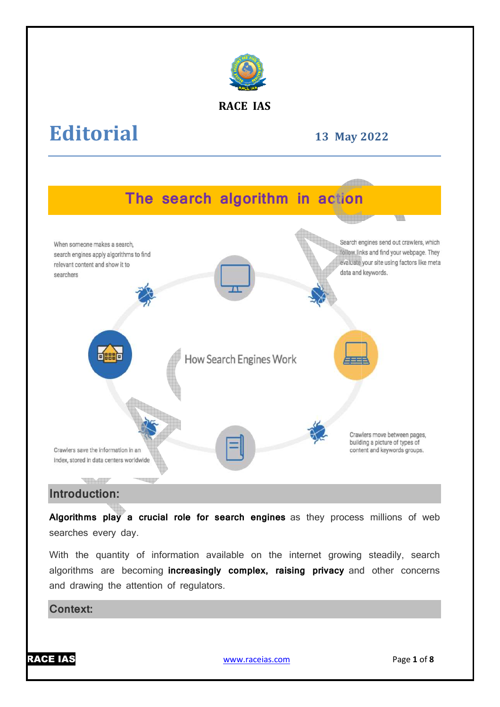

#### **RACE IAS**

# **Editorial**

**13 May 2022**



### **Introduction:**

Algorithms play a crucial role for search engines as they process millions of web searches every day.

With the quantity of information available on the internet growing steadily, search algorithms are becoming **increasingly complex, raising privacy** and other concerns and drawing the attention of regulators.

#### **Context:**

RACE IAS

www.raceias.com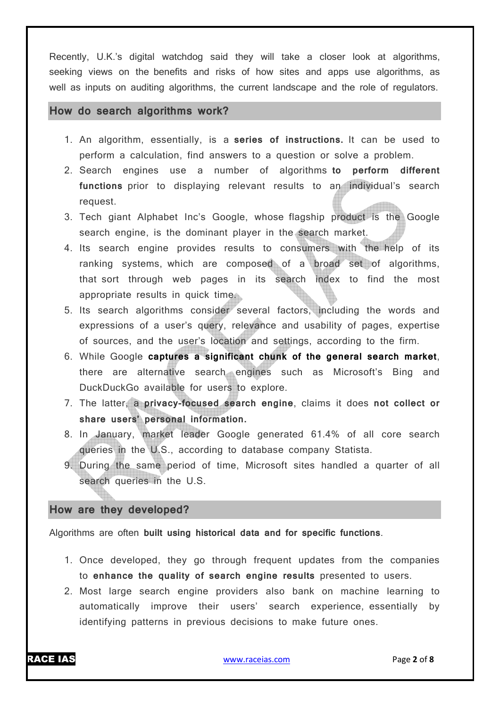Recently, U.K.'s digital watchdog said they will take a closer look at algorithms, seeking views on the benefits and risks of how sites and apps use algorithms, as well as inputs on auditing algorithms, the current landscape and the role of regulators.

#### **How do search algorithms work?**

- 1. An algorithm, essentially, is a **series of instructions.** It can be used to perform a calculation, find answers to a question or solve a problem.
- 2. Search engines use a number of algorithms **to perform different functions** prior to displaying relevant results to an individual's search request.
- 3. Tech giant Alphabet Inc's Google, whose flagship product is the Google search engine, is the dominant player in the search market.
- 4. Its search engine provides results to consumers with the help of its ranking systems, which are composed of a broad set of algorithms, that sort through web pages in its search index to find the most appropriate results in quick time.
- 5. Its search algorithms consider several factors, including the words and expressions of a user's query, relevance and usability of pages, expertise of sources, and the user's location and settings, according to the firm.
- 6. While Google **captures a significant chunk of the general search market**, there are alternative search engines such as Microsoft's Bing and DuckDuckGo available for users to explore.
- 7. The latter, a **privacy-focused search engine**, claims it does **not collect or share users' personal information.**
- 8. In January, market leader Google generated 61.4% of all core search queries in the U.S., according to database company Statista.
- 9. During the same period of time, Microsoft sites handled a quarter of all search queries in the U.S.

#### **How are they developed?**

Algorithms are often **built using historical data and for specific functions**.

- 1. Once developed, they go through frequent updates from the companies to **enhance the quality of search engine results** presented to users.
- 2. Most large search engine providers also bank on machine learning to automatically improve their users' search experience, essentially by identifying patterns in previous decisions to make future ones.

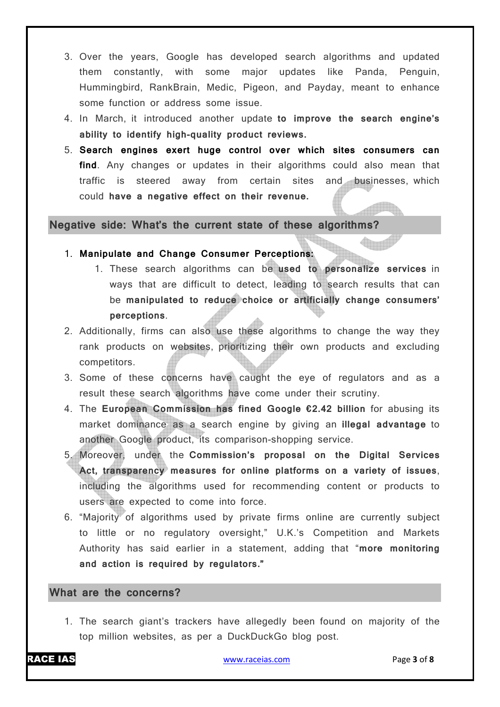- 3. Over the years, Google has developed search algorithms and updated them constantly, with some major updates like Panda, Penguin, Hummingbird, RankBrain, Medic, Pigeon, and Payday, meant to enhance some function or address some issue.
- 4. In March, it introduced another update **to improve the search engine's ability to identify high-quality product reviews.**
- 5. **Search engines exert huge control over which sites consumers can find**. Any changes or updates in their algorithms could also mean that traffic is steered away from certain sites and businesses, which could **have a negative effect on their revenue.**

#### **Negative side: What's the current state of these algorithms?**

- 1. **Manipulate and Change Consumer Perceptions:**
	- 1. These search algorithms can be **used to personalize services** in ways that are difficult to detect, leading to search results that can be **manipulated to reduce choice or artificially change consumers' perceptions**.
- 2. Additionally, firms can also use these algorithms to change the way they rank products on websites, prioritizing their own products and excluding competitors.
- 3. Some of these concerns have caught the eye of regulators and as a result these search algorithms have come under their scrutiny.
- 4. The **European Commission has fined Google €2.42 billion** for abusing its market dominance as a search engine by giving an **illegal advantage** to another Google product, its comparison-shopping service.
- 5. Moreover, under the **Commission's proposal on the Digital Services Act, transparency measures for online platforms on a variety of issues**, including the algorithms used for recommending content or products to users are expected to come into force.
- 6. "Majority of algorithms used by private firms online are currently subject to little or no regulatory oversight," U.K.'s Competition and Markets Authority has said earlier in a statement, adding that "**more monitoring and action is required by regulators."**

#### **What are the concerns?**

1. The search giant's trackers have allegedly been found on majority of the top million websites, as per a DuckDuckGo blog post.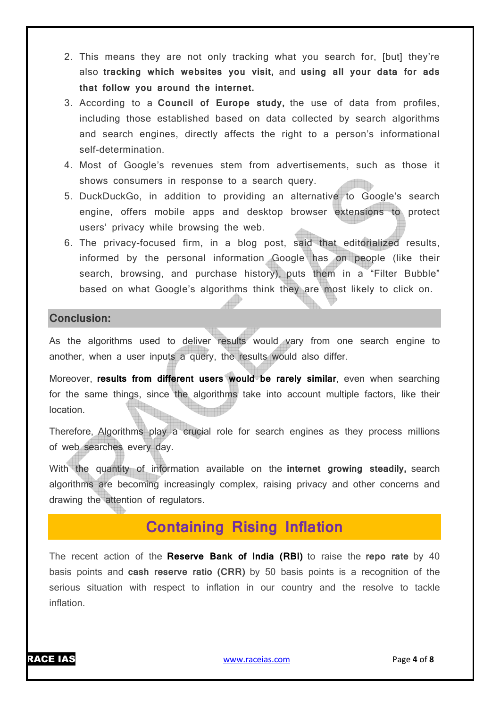- 2. This means they are not only tracking what you search for, [but] they're also **tracking which websites you visit,** and **using all your data for ads that follow you around the internet.**
- 3. According to a **Council of Europe study,** the use of data from profiles, including those established based on data collected by search algorithms and search engines, directly affects the right to a person's informational self-determination.
- 4. Most of Google's revenues stem from advertisements, such as those it shows consumers in response to a search query.
- 5. DuckDuckGo, in addition to providing an alternative to Google's search engine, offers mobile apps and desktop browser extensions to protect users' privacy while browsing the web.
- 6. The privacy-focused firm, in a blog post, said that editorialized results, informed by the personal information Google has on people (like their search, browsing, and purchase history), puts them in a "Filter Bubble" based on what Google's algorithms think they are most likely to click on.

#### **Conclusion:**

As the algorithms used to deliver results would vary from one search engine to another, when a user inputs a query, the results would also differ.

Moreover, **results from different users would be rarely similar**, even when searching for the same things, since the algorithms take into account multiple factors, like their location.

Therefore, Algorithms play a crucial role for search engines as they process millions of web searches every day.

With the quantity of information available on the **internet growing steadily,** search algorithms are becoming increasingly complex, raising privacy and other concerns and drawing the attention of regulators.

## **Containing Rising Inflation**

The recent action of the **Reserve Bank of India (RBI)** to raise the **repo rate** by 40 basis points and **cash reserve ratio (CRR)** by 50 basis points is a recognition of the serious situation with respect to inflation in our country and the resolve to tackle inflation.

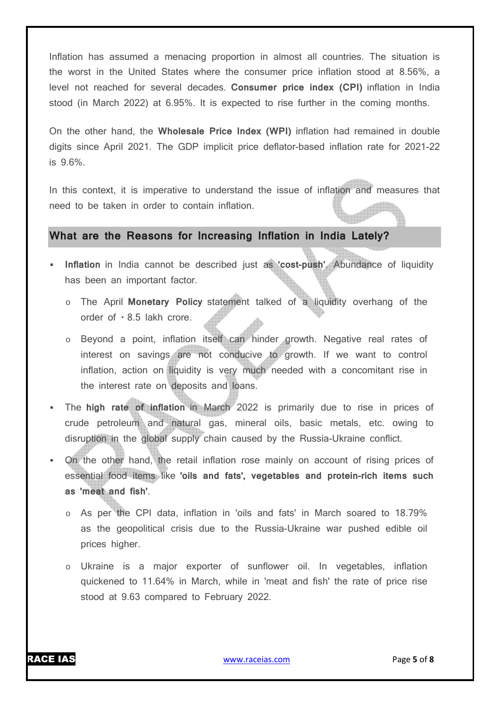Inflation has assumed a menacing proportion in almost all countries. The situation is the worst in the United States where the consumer price inflation stood at 8.56%, a level not reached for several decades. **Consumer price index (CPI)** inflation in India stood (in March 2022) at 6.95%. It is expected to rise further in the coming months.

On the other hand, the **Wholesale Price Index (WPI)** inflation had remained in double digits since April 2021. The GDP implicit price deflator-based inflation rate for 2021-22 is 9.6%.

In this context, it is imperative to understand the issue of inflation and measures that need to be taken in order to contain inflation.

#### **What are the Reasons for Increasing Inflation in India Lately?**

- **Inflation** in India cannot be described just as **'cost-push'**. Abundance of liquidity has been an important factor.
	- o The April **Monetary Policy** statement talked of a liquidity overhang of the order of  $\cdot$  8.5 lakh crore.
	- o Beyond a point, inflation itself can hinder growth. Negative real rates of interest on savings are not conducive to growth. If we want to control inflation, action on liquidity is very much needed with a concomitant rise in the interest rate on deposits and loans.
- The **high rate of inflation** in March 2022 is primarily due to rise in prices of crude petroleum and natural gas, mineral oils, basic metals, etc. owing to disruption in the global supply chain caused by the Russia-Ukraine conflict.
- On the other hand, the retail inflation rose mainly on account of rising prices of essential food items like **'oils and fats', vegetables and protein-rich items such as 'meat and fish'**.
	- o As per the CPI data, inflation in 'oils and fats' in March soared to 18.79% as the geopolitical crisis due to the Russia-Ukraine war pushed edible oil prices higher.
	- o Ukraine is a major exporter of sunflower oil. In vegetables, inflation quickened to 11.64% in March, while in 'meat and fish' the rate of price rise stood at 9.63 compared to February 2022.

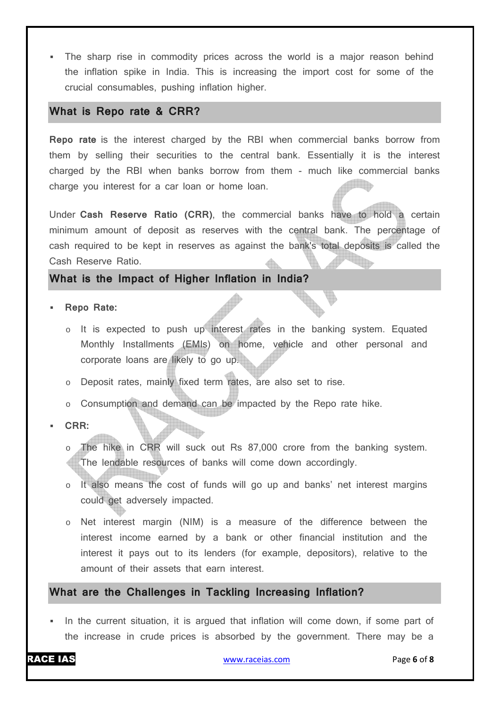The sharp rise in commodity prices across the world is a major reason behind the inflation spike in India. This is increasing the import cost for some of the crucial consumables, pushing inflation higher.

#### **What is Repo rate & CRR?**

**Repo rate** is the interest charged by the RBI when commercial banks borrow from them by selling their securities to the central bank. Essentially it is the interest charged by the RBI when banks borrow from them - much like commercial banks **Alla** charge you interest for a car loan or home loan.

Under **Cash Reserve Ratio (CRR)**, the commercial banks have to hold a certain minimum amount of deposit as reserves with the central bank. The percentage of cash required to be kept in reserves as against the bank's total deposits is called the Cash Reserve Ratio.

#### **What is the Impact of Higher Inflation in India?**

- **Repo Rate:**
	- o It is expected to push up interest rates in the banking system. Equated Monthly Installments (EMIs) on home, vehicle and other personal and corporate loans are likely to go up.
	- o Deposit rates, mainly fixed term rates, are also set to rise.
	- o Consumption and demand can be impacted by the Repo rate hike.
- **CRR:**

The hike in CRR will suck out Rs 87,000 crore from the banking system. The lendable resources of banks will come down accordingly.

- o It also means the cost of funds will go up and banks' net interest margins could get adversely impacted.
- o Net interest margin (NIM) is a measure of the difference between the interest income earned by a bank or other financial institution and the interest it pays out to its lenders (for example, depositors), relative to the amount of their assets that earn interest.

#### **What are the Challenges in Tackling Increasing Inflation?**

In the current situation, it is argued that inflation will come down, if some part of the increase in crude prices is absorbed by the government. There may be a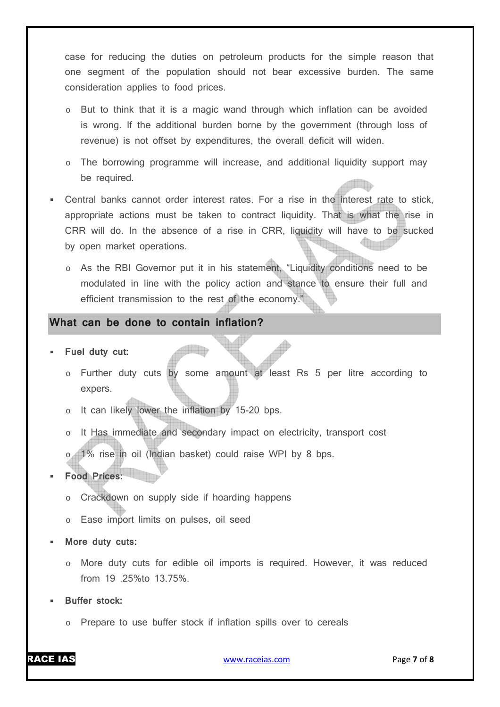case for reducing the duties on petroleum products for the simple reason that one segment of the population should not bear excessive burden. The same consideration applies to food prices.

- But to think that it is a magic wand through which inflation can be avoided is wrong. If the additional burden borne by the government (through loss of revenue) is not offset by expenditures, the overall deficit will widen.
- o The borrowing programme will increase, and additional liquidity support may be required.
- Central banks cannot order interest rates. For a rise in the interest rate to stick, appropriate actions must be taken to contract liquidity. That is what the rise in CRR will do. In the absence of a rise in CRR, liquidity will have to be sucked by open market operations.
	- o As the RBI Governor put it in his statement, "Liquidity conditions need to be modulated in line with the policy action and stance to ensure their full and efficient transmission to the rest of the economy."

#### **What can be done to contain inflation?**

- **Fuel duty cut:**
	- o Further duty cuts by some amount at least Rs 5 per litre according to expers.
	- o It can likely lower the inflation by 15-20 bps.
	- It Has immediate and secondary impact on electricity, transport cost
	- o 1% rise in oil (Indian basket) could raise WPI by 8 bps.

#### **Food Prices:**

- o Crackdown on supply side if hoarding happens
- o Ease import limits on pulses, oil seed
- **More duty cuts:**
	- $\circ$  More duty cuts for edible oil imports is required. However, it was reduced from 19 .25%to 13.75%.
- **Buffer stock:**
	- o Prepare to use buffer stock if inflation spills over to cereals

RACE IAS www.raceias.com Page **7** of **8**